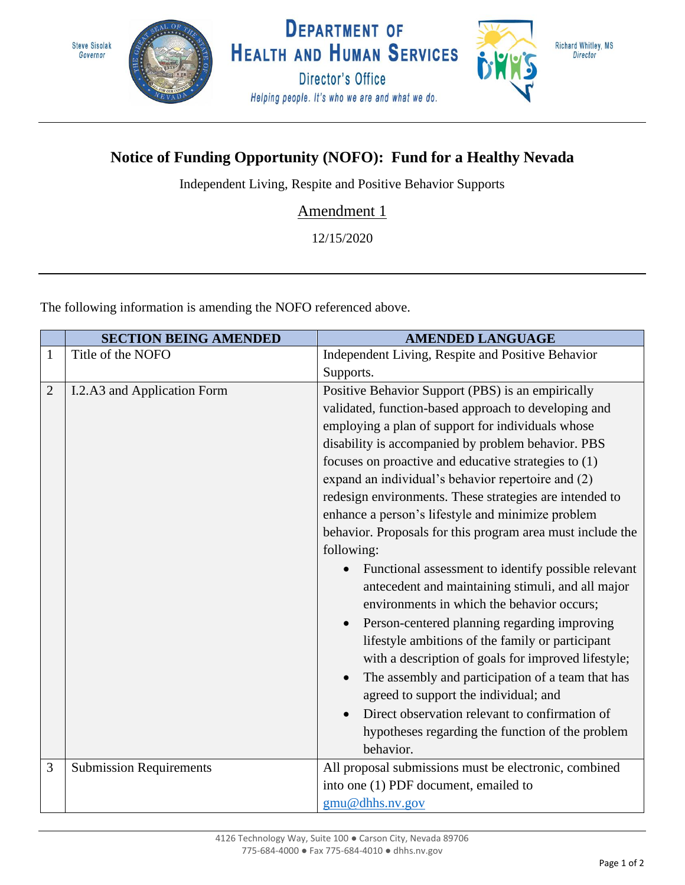

## **Notice of Funding Opportunity (NOFO): Fund for a Healthy Nevada**

Independent Living, Respite and Positive Behavior Supports

Amendment 1

12/15/2020

The following information is amending the NOFO referenced above.

|                | <b>SECTION BEING AMENDED</b>   | <b>AMENDED LANGUAGE</b>                                                                                                                                                                                                                                                                                                                                                                                                                                                                                                                                                                                                                                                                                                                                                                                                                                                                                                                                                                                                                                              |
|----------------|--------------------------------|----------------------------------------------------------------------------------------------------------------------------------------------------------------------------------------------------------------------------------------------------------------------------------------------------------------------------------------------------------------------------------------------------------------------------------------------------------------------------------------------------------------------------------------------------------------------------------------------------------------------------------------------------------------------------------------------------------------------------------------------------------------------------------------------------------------------------------------------------------------------------------------------------------------------------------------------------------------------------------------------------------------------------------------------------------------------|
| $\mathbf{1}$   | Title of the NOFO              | Independent Living, Respite and Positive Behavior                                                                                                                                                                                                                                                                                                                                                                                                                                                                                                                                                                                                                                                                                                                                                                                                                                                                                                                                                                                                                    |
|                |                                | Supports.                                                                                                                                                                                                                                                                                                                                                                                                                                                                                                                                                                                                                                                                                                                                                                                                                                                                                                                                                                                                                                                            |
| $\overline{2}$ | I.2.A3 and Application Form    | Positive Behavior Support (PBS) is an empirically<br>validated, function-based approach to developing and<br>employing a plan of support for individuals whose<br>disability is accompanied by problem behavior. PBS<br>focuses on proactive and educative strategies to (1)<br>expand an individual's behavior repertoire and (2)<br>redesign environments. These strategies are intended to<br>enhance a person's lifestyle and minimize problem<br>behavior. Proposals for this program area must include the<br>following:<br>Functional assessment to identify possible relevant<br>antecedent and maintaining stimuli, and all major<br>environments in which the behavior occurs;<br>Person-centered planning regarding improving<br>lifestyle ambitions of the family or participant<br>with a description of goals for improved lifestyle;<br>The assembly and participation of a team that has<br>agreed to support the individual; and<br>Direct observation relevant to confirmation of<br>hypotheses regarding the function of the problem<br>behavior. |
| 3              | <b>Submission Requirements</b> | All proposal submissions must be electronic, combined<br>into one (1) PDF document, emailed to                                                                                                                                                                                                                                                                                                                                                                                                                                                                                                                                                                                                                                                                                                                                                                                                                                                                                                                                                                       |
|                |                                | gmu@dhhs.nv.gov                                                                                                                                                                                                                                                                                                                                                                                                                                                                                                                                                                                                                                                                                                                                                                                                                                                                                                                                                                                                                                                      |